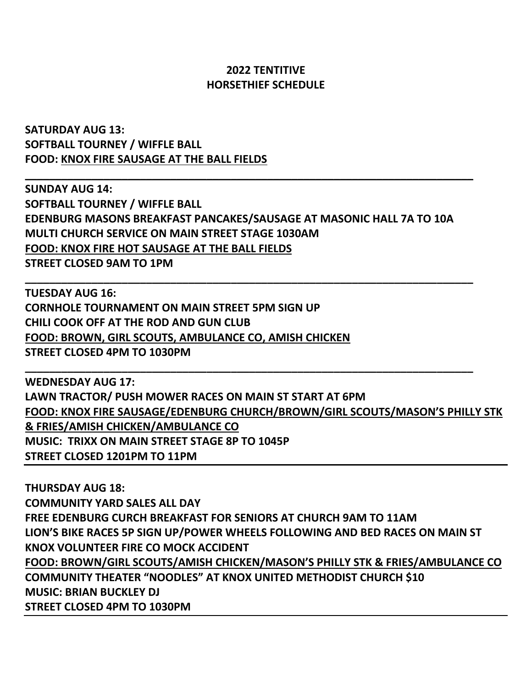## **2022 TENTITIVE HORSETHIEF SCHEDULE**

**SATURDAY AUG 13: SOFTBALL TOURNEY / WIFFLE BALL FOOD: KNOX FIRE SAUSAGE AT THE BALL FIELDS**

**SUNDAY AUG 14: SOFTBALL TOURNEY / WIFFLE BALL EDENBURG MASONS BREAKFAST PANCAKES/SAUSAGE AT MASONIC HALL 7A TO 10A MULTI CHURCH SERVICE ON MAIN STREET STAGE 1030AM FOOD: KNOX FIRE HOT SAUSAGE AT THE BALL FIELDS STREET CLOSED 9AM TO 1PM**

**\_\_\_\_\_\_\_\_\_\_\_\_\_\_\_\_\_\_\_\_\_\_\_\_\_\_\_\_\_\_\_\_\_\_\_\_\_\_\_\_\_\_\_\_\_\_\_\_\_\_\_\_\_\_\_\_\_\_\_\_\_\_\_\_\_\_\_\_\_\_\_\_\_\_**

**\_\_\_\_\_\_\_\_\_\_\_\_\_\_\_\_\_\_\_\_\_\_\_\_\_\_\_\_\_\_\_\_\_\_\_\_\_\_\_\_\_\_\_\_\_\_\_\_\_\_\_\_\_\_\_\_\_\_\_\_\_\_\_\_\_\_\_\_\_\_\_\_\_\_**

**\_\_\_\_\_\_\_\_\_\_\_\_\_\_\_\_\_\_\_\_\_\_\_\_\_\_\_\_\_\_\_\_\_\_\_\_\_\_\_\_\_\_\_\_\_\_\_\_\_\_\_\_\_\_\_\_\_\_\_\_\_\_\_\_\_\_\_\_\_\_\_\_\_\_**

**TUESDAY AUG 16: CORNHOLE TOURNAMENT ON MAIN STREET 5PM SIGN UP CHILI COOK OFF AT THE ROD AND GUN CLUB FOOD: BROWN, GIRL SCOUTS, AMBULANCE CO, AMISH CHICKEN STREET CLOSED 4PM TO 1030PM**

**WEDNESDAY AUG 17: LAWN TRACTOR/ PUSH MOWER RACES ON MAIN ST START AT 6PM FOOD: KNOX FIRE SAUSAGE/EDENBURG CHURCH/BROWN/GIRL SCOUTS/MASON'S PHILLY STK & FRIES/AMISH CHICKEN/AMBULANCE CO MUSIC: TRIXX ON MAIN STREET STAGE 8P TO 1045P STREET CLOSED 1201PM TO 11PM**

**THURSDAY AUG 18: COMMUNITY YARD SALES ALL DAY FREE EDENBURG CURCH BREAKFAST FOR SENIORS AT CHURCH 9AM TO 11AM LION'S BIKE RACES 5P SIGN UP/POWER WHEELS FOLLOWING AND BED RACES ON MAIN ST KNOX VOLUNTEER FIRE CO MOCK ACCIDENT FOOD: BROWN/GIRL SCOUTS/AMISH CHICKEN/MASON'S PHILLY STK & FRIES/AMBULANCE CO COMMUNITY THEATER "NOODLES" AT KNOX UNITED METHODIST CHURCH \$10 MUSIC: BRIAN BUCKLEY DJ STREET CLOSED 4PM TO 1030PM**